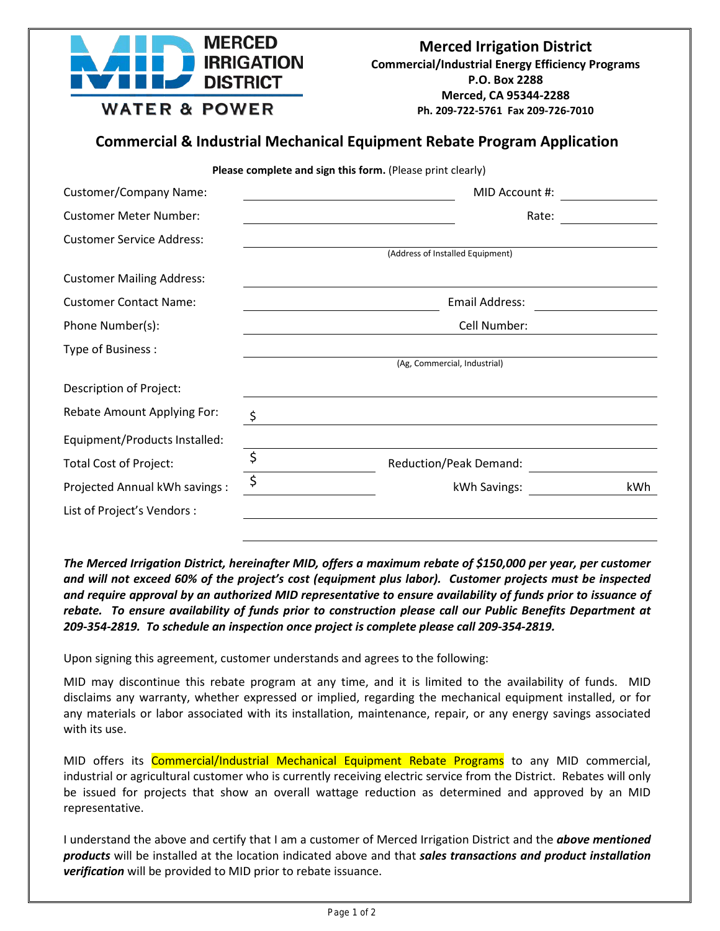

## **Commercial & Industrial Mechanical Equipment Rebate Program Application**

**Please complete and sign this form.** (Please print clearly)

| <b>Customer/Company Name:</b>    | MID Account #: |                                  |     |
|----------------------------------|----------------|----------------------------------|-----|
| <b>Customer Meter Number:</b>    | Rate:          |                                  |     |
| <b>Customer Service Address:</b> |                | (Address of Installed Equipment) |     |
| <b>Customer Mailing Address:</b> |                |                                  |     |
| <b>Customer Contact Name:</b>    |                | Email Address:                   |     |
| Phone Number(s):                 | Cell Number:   |                                  |     |
| Type of Business:                |                | (Ag, Commercial, Industrial)     |     |
| Description of Project:          |                |                                  |     |
| Rebate Amount Applying For:      | \$             |                                  |     |
| Equipment/Products Installed:    |                |                                  |     |
| <b>Total Cost of Project:</b>    | \$             | <b>Reduction/Peak Demand:</b>    |     |
| Projected Annual kWh savings :   | \$             | kWh Savings:                     | kWh |
| List of Project's Vendors :      |                |                                  |     |

*The Merced Irrigation District, hereinafter MID, offers a maximum rebate of \$150,000 per year, per customer and will not exceed 60% of the project's cost (equipment plus labor). Customer projects must be inspected and require approval by an authorized MID representative to ensure availability of funds prior to issuance of rebate. To ensure availability of funds prior to construction please call our Public Benefits Department at 209-354-2819. To schedule an inspection once project is complete please call 209-354-2819.*

Upon signing this agreement, customer understands and agrees to the following:

MID may discontinue this rebate program at any time, and it is limited to the availability of funds. MID disclaims any warranty, whether expressed or implied, regarding the mechanical equipment installed, or for any materials or labor associated with its installation, maintenance, repair, or any energy savings associated with its use.

MID offers its **Commercial/Industrial Mechanical Equipment Rebate Programs** to any MID commercial, industrial or agricultural customer who is currently receiving electric service from the District. Rebates will only be issued for projects that show an overall wattage reduction as determined and approved by an MID representative.

I understand the above and certify that I am a customer of Merced Irrigation District and the *above mentioned products* will be installed at the location indicated above and that *sales transactions and product installation verification* will be provided to MID prior to rebate issuance.